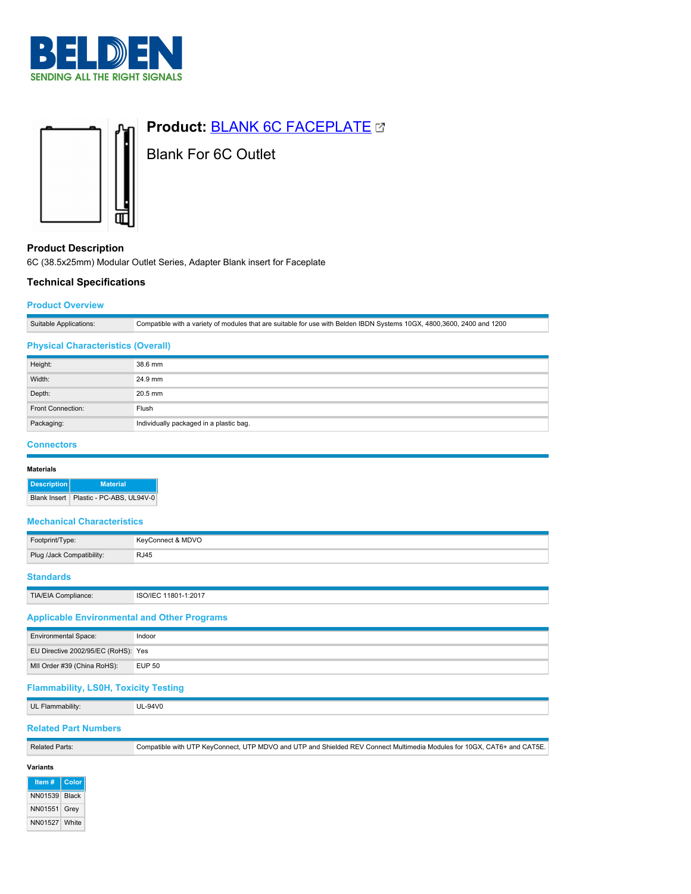



# **Product: [BLANK 6C FACEPLATE](https://catalog.belden.com/index.cfm?event=pd&p=PF_BLANK6CFACEPLATE&tab=downloads) &**

Blank For 6C Outlet

## **Product Description**

6C (38.5x25mm) Modular Outlet Series, Adapter Blank insert for Faceplate

### **Technical Specifications**

#### **Product Overview**

| 1200<br>2400<br>a variety of modules that are suitable for use with Belden IBDN Systems 10GX, 4800,3600, 2<br>$\mathrel{\mathsf{.}}$ compatible with a<br>'and∴ |
|-----------------------------------------------------------------------------------------------------------------------------------------------------------------|

#### **Physical Characteristics (Overall)**

| Height:           | 38.6 mm                                 |
|-------------------|-----------------------------------------|
| Width:            | 24.9 mm                                 |
| Depth:            | 20.5 mm                                 |
| Front Connection: | Flush                                   |
| Packaging:        | Individually packaged in a plastic bag. |

#### **Connectors**

| <b>Materials</b> |                     |                           |  |
|------------------|---------------------|---------------------------|--|
|                  | <b>Description</b>  | <b>Material</b>           |  |
|                  | <b>Blank Insert</b> | Plastic - PC-ABS, UL94V-0 |  |

#### **Mechanical Characteristics**

| Footprint/Type:           | KeyConnect & MDVO |
|---------------------------|-------------------|
| Plug /Jack Compatibility: | <b>RJ45</b>       |
| <b>Standards</b>          |                   |

| TIA/EIA Compliance: | ີ່ <sup>^</sup> ባ1-1:2017<br>ISO/IEC<br>1801 |
|---------------------|----------------------------------------------|
|                     |                                              |

## **Applicable Environmental and Other Programs**

| <b>Environmental Space:</b>         | Indoor        |
|-------------------------------------|---------------|
| EU Directive 2002/95/EC (RoHS): Yes |               |
| MII Order #39 (China RoHS):         | <b>EUP 50</b> |

## **Flammability, LS0H, Toxicity Testing**

UL Flammability: UL-94V0

## **Related Part Numbers**

| <b>Related Parts:</b> | Compatible with UTP KeyConnect, UTP MDVO and UTP and Shielded REV Connect Multimedia Modules for 10GX, CAT6+ and CAT5E. |
|-----------------------|-------------------------------------------------------------------------------------------------------------------------|
|                       |                                                                                                                         |

## **Variants**

**Item # Color** NN01539 Black NN01551 Grey NN01527 White